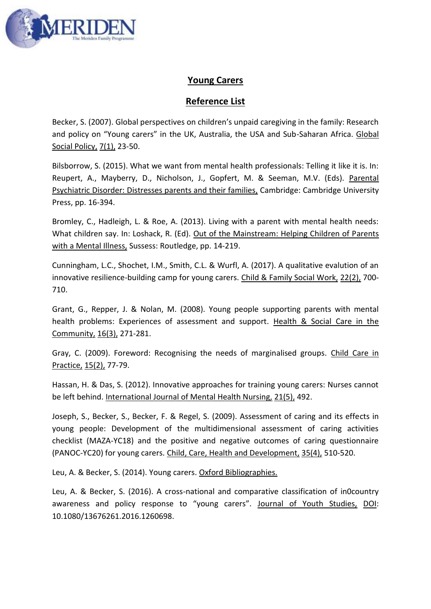

## **Young Carers**

## **Reference List**

Becker, S. (2007). Global perspectives on children's unpaid caregiving in the family: Research and policy on "Young carers" in the UK, Australia, the USA and Sub-Saharan Africa. Global Social Policy, 7(1), 23-50.

Bilsborrow, S. (2015). What we want from mental health professionals: Telling it like it is. In: Reupert, A., Mayberry, D., Nicholson, J., Gopfert, M. & Seeman, M.V. (Eds). Parental Psychiatric Disorder: Distresses parents and their families, Cambridge: Cambridge University Press, pp. 16-394.

Bromley, C., Hadleigh, L. & Roe, A. (2013). Living with a parent with mental health needs: What children say. In: Loshack, R. (Ed). Out of the Mainstream: Helping Children of Parents with a Mental Illness, Sussess: Routledge, pp. 14-219.

Cunningham, L.C., Shochet, I.M., Smith, C.L. & Wurfl, A. (2017). A qualitative evalution of an innovative resilience-building camp for young carers. Child & Family Social Work, 22(2), 700- 710.

Grant, G., Repper, J. & Nolan, M. (2008). Young people supporting parents with mental health problems: Experiences of assessment and support. Health & Social Care in the Community, 16(3), 271-281.

Gray, C. (2009). Foreword: Recognising the needs of marginalised groups. Child Care in Practice, 15(2), 77-79.

Hassan, H. & Das, S. (2012). Innovative approaches for training young carers: Nurses cannot be left behind. International Journal of Mental Health Nursing, 21(5), 492.

Joseph, S., Becker, S., Becker, F. & Regel, S. (2009). Assessment of caring and its effects in young people: Development of the multidimensional assessment of caring activities checklist (MAZA-YC18) and the positive and negative outcomes of caring questionnaire (PANOC-YC20) for young carers. Child, Care, Health and Development, 35(4), 510-520.

Leu, A. & Becker, S. (2014). Young carers. Oxford Bibliographies.

Leu, A. & Becker, S. (2016). A cross-national and comparative classification of in0country awareness and policy response to "young carers". Journal of Youth Studies, DOI: 10.1080/13676261.2016.1260698.